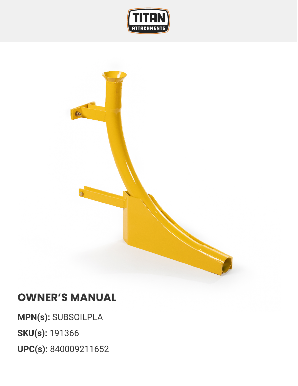



## **OWNER'S MANUAL**

**MPN(s):** SUBSOILPLA

**SKU(s):** 191366

**UPC(s):** 840009211652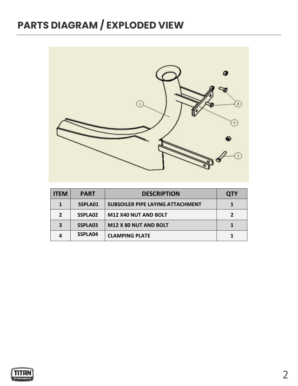## **PARTS DIAGRAM / EXPLODED VIEW**



| <b>ITEM</b> | <b>PART</b> | <b>DESCRIPTION</b>                      | <b>QTY</b> |
|-------------|-------------|-----------------------------------------|------------|
|             | SSPLA01     | <b>SUBSOILER PIPE LAYING ATTACHMENT</b> |            |
|             | SSPLA02     | M12 X40 NUT AND BOLT                    |            |
|             | SSPLA03     | M12 X 80 NUT AND BOLT                   |            |
|             | SSPLA04     | <b>CLAMPING PLATE</b>                   |            |